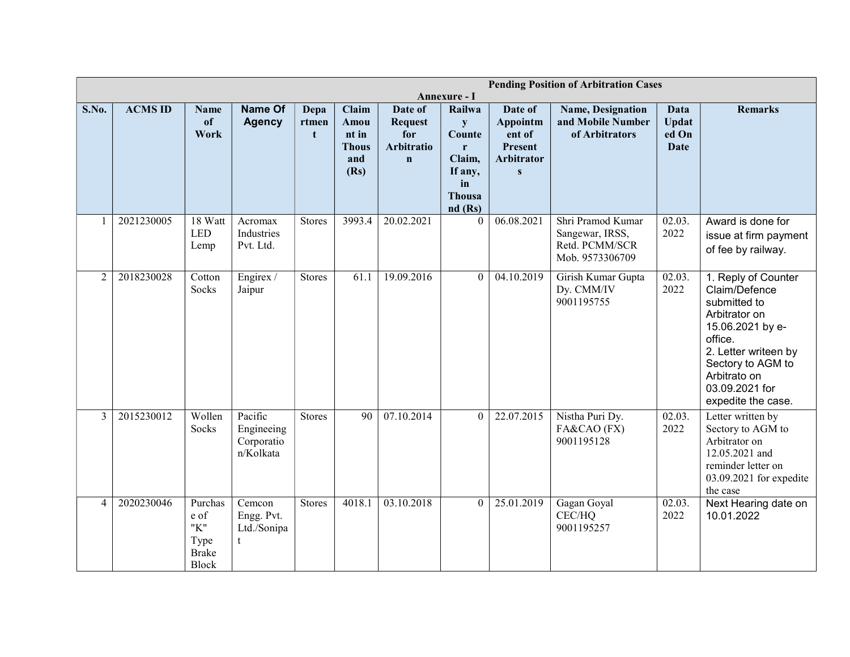|       |                |                                                         |                                                   |                              |                                                       |                                                               | <b>Pending Position of Arbitration Cases</b><br>Annexure - I                             |                                                                                      |                                                                           |                                              |                                                                                                                                                                                                           |  |
|-------|----------------|---------------------------------------------------------|---------------------------------------------------|------------------------------|-------------------------------------------------------|---------------------------------------------------------------|------------------------------------------------------------------------------------------|--------------------------------------------------------------------------------------|---------------------------------------------------------------------------|----------------------------------------------|-----------------------------------------------------------------------------------------------------------------------------------------------------------------------------------------------------------|--|
| S.No. | <b>ACMS ID</b> | <b>Name</b><br><sub>of</sub><br>Work                    | Name Of<br><b>Agency</b>                          | Depa<br>rtmen<br>$\mathbf t$ | Claim<br>Amou<br>nt in<br><b>Thous</b><br>and<br>(Rs) | Date of<br><b>Request</b><br>for<br>Arbitratio<br>$\mathbf n$ | Railwa<br>${\bf y}$<br>Counte<br>r<br>Claim,<br>If any,<br>in<br><b>Thousa</b><br>nd(Rs) | Date of<br>Appointm<br>ent of<br><b>Present</b><br><b>Arbitrator</b><br>$\mathbf{s}$ | Name, Designation<br>and Mobile Number<br>of Arbitrators                  | Data<br><b>Updat</b><br>ed On<br><b>Date</b> | <b>Remarks</b>                                                                                                                                                                                            |  |
|       | 2021230005     | 18 Watt<br><b>LED</b><br>Lemp                           | Acromax<br>Industries<br>Pvt. Ltd.                | <b>Stores</b>                | 3993.4                                                | 20.02.2021                                                    | $\theta$                                                                                 | 06.08.2021                                                                           | Shri Pramod Kumar<br>Sangewar, IRSS,<br>Retd. PCMM/SCR<br>Mob. 9573306709 | 02.03.<br>2022                               | Award is done for<br>issue at firm payment<br>of fee by railway.                                                                                                                                          |  |
| 2     | 2018230028     | Cotton<br>Socks                                         | Engirex /<br>Jaipur                               | <b>Stores</b>                | 61.1                                                  | 19.09.2016                                                    | $\Omega$                                                                                 | 04.10.2019                                                                           | Girish Kumar Gupta<br>Dy. CMM/IV<br>9001195755                            | $\overline{02.03}$ .<br>2022                 | 1. Reply of Counter<br>Claim/Defence<br>submitted to<br>Arbitrator on<br>15.06.2021 by e-<br>office.<br>2. Letter writeen by<br>Sectory to AGM to<br>Arbitrato on<br>03.09.2021 for<br>expedite the case. |  |
| 3     | 2015230012     | Wollen<br>Socks                                         | Pacific<br>Engineeing<br>Corporatio<br>n/Kolkata  | <b>Stores</b>                | $\overline{90}$                                       | 07.10.2014                                                    | $\mathbf{0}$                                                                             | 22.07.2015                                                                           | Nistha Puri Dy.<br>FA&CAO (FX)<br>9001195128                              | $\overline{02.03}$ .<br>2022                 | Letter written by<br>Sectory to AGM to<br>Arbitrator on<br>12.05.2021 and<br>reminder letter on<br>03.09.2021 for expedite<br>the case                                                                    |  |
| 4     | 2020230046     | Purchas<br>e of<br>"K"<br>Type<br><b>Brake</b><br>Block | Cemcon<br>Engg. Pvt.<br>Ltd./Sonipa<br>$^{\rm t}$ | <b>Stores</b>                | 4018.1                                                | 03.10.2018                                                    | $\Omega$                                                                                 | 25.01.2019                                                                           | Gagan Goyal<br>CEC/HQ<br>9001195257                                       | 02.03.<br>2022                               | Next Hearing date on<br>10.01.2022                                                                                                                                                                        |  |